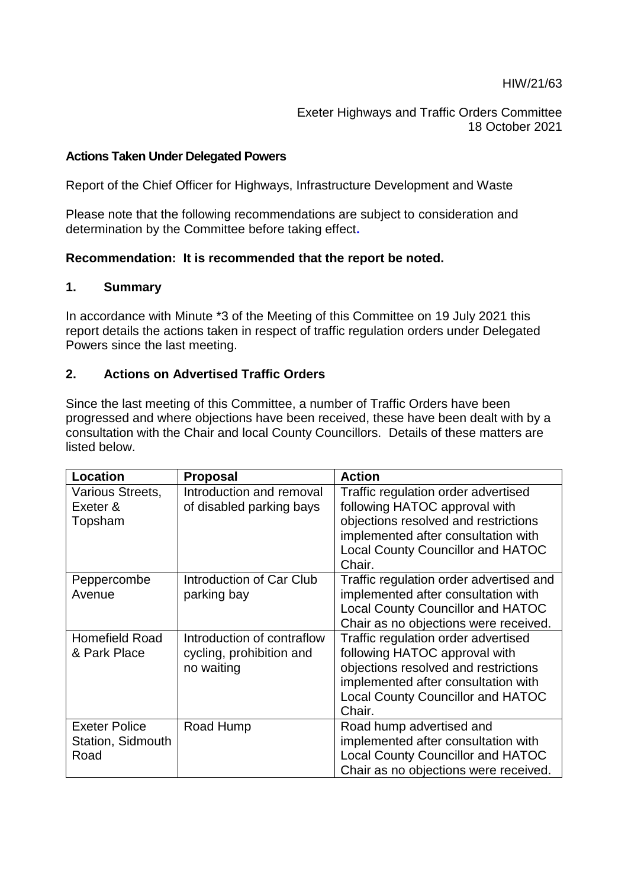Exeter Highways and Traffic Orders Committee 18 October 2021

### **Actions Taken Under Delegated Powers**

Report of the Chief Officer for Highways, Infrastructure Development and Waste

Please note that the following recommendations are subject to consideration and determination by the Committee before taking effect**.** 

### **Recommendation: It is recommended that the report be noted.**

#### **1. Summary**

In accordance with Minute \*3 of the Meeting of this Committee on 19 July 2021 this report details the actions taken in respect of traffic regulation orders under Delegated Powers since the last meeting.

### **2. Actions on Advertised Traffic Orders**

Since the last meeting of this Committee, a number of Traffic Orders have been progressed and where objections have been received, these have been dealt with by a consultation with the Chair and local County Councillors. Details of these matters are listed below.

| <b>Location</b>                                          | <b>Proposal</b>                                                      | <b>Action</b>                                                                                                                                                                                             |
|----------------------------------------------------------|----------------------------------------------------------------------|-----------------------------------------------------------------------------------------------------------------------------------------------------------------------------------------------------------|
| Various Streets,<br>Exeter &<br>Topsham                  | Introduction and removal<br>of disabled parking bays                 | Traffic regulation order advertised<br>following HATOC approval with<br>objections resolved and restrictions<br>implemented after consultation with<br><b>Local County Councillor and HATOC</b><br>Chair. |
| Peppercombe<br>Avenue                                    | <b>Introduction of Car Club</b><br>parking bay                       | Traffic regulation order advertised and<br>implemented after consultation with<br><b>Local County Councillor and HATOC</b><br>Chair as no objections were received.                                       |
| <b>Homefield Road</b><br>& Park Place                    | Introduction of contraflow<br>cycling, prohibition and<br>no waiting | Traffic regulation order advertised<br>following HATOC approval with<br>objections resolved and restrictions<br>implemented after consultation with<br><b>Local County Councillor and HATOC</b><br>Chair. |
| <b>Exeter Police</b><br><b>Station, Sidmouth</b><br>Road | Road Hump                                                            | Road hump advertised and<br>implemented after consultation with<br><b>Local County Councillor and HATOC</b><br>Chair as no objections were received.                                                      |